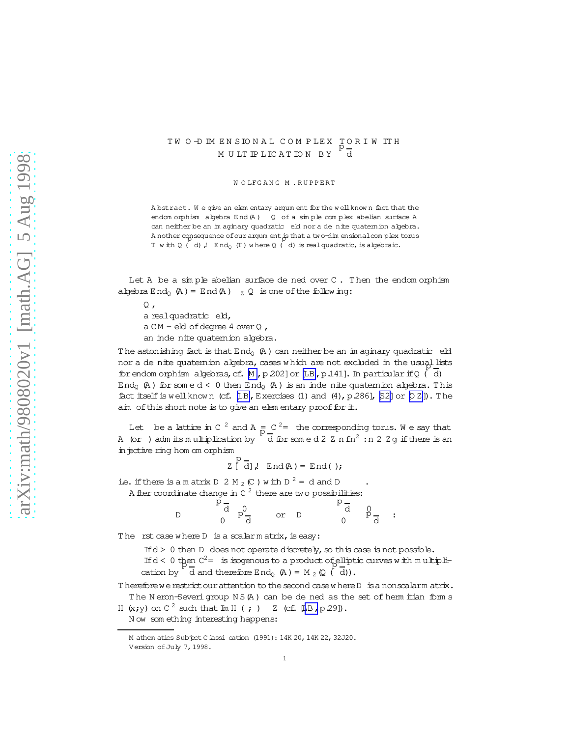## TW O -D IM EN SIONAL COMPLEX TORIWITH M U LT IP LIC A T IO N B Y d

W O LFG A N G M . R U P P F R T

A bstract. W e give an elem entary argum ent for the w ellknow n fact that the endom orphism algebra End(A) Q of a simple complex abelian surface A can neither be an im aginary quadratic eld nor a de nite quaternion algebra. A nother consequence of our argum ent is that a two-dim ensional complex torus T with Q ( d), End<sub>Q</sub> (T ) where Q ( d) is realquadratic, is algebraic.

Let  $A$  be a simple abelian surface de ned over  $C$ . Then the endom orphism algebra  $End_0$  (A) = End(A)  $_Z$  Q is one of the follow ing:

 $\circ$ . a realquadratic eld,  $a$  CM - eld of degree 4 over 0, an inde nite quatemion algebra.

The astonishing fact is that  $End_0$   $(A)$  can neither be an im aginary quadratic eld nor a de nite quatemion algebra, cases w hich are not excluded in the usual lists for endom orphism algebras, cf.  $M$ , p.202] or  $[LB, p.141]$  $[LB, p.141]$ . In particular if Q  $( d )$ End<sub>0</sub> (A) for some  $d \leq 0$  then End<sub>0</sub> (A) is an inde nite quaternion algebra. This fact itself is well known (cf.  $[LB, Exercises (1)$  and  $(4), p.286]$ ,  $[S2]$  or  $[O Z]$ ). The aim of this short note is to give an elem entary proof for  $\pm$ .

Let be a lattice in C  $^2$  and A  $\frac{1}{p}$   $\frac{C}{q}$  the corresponding torus. We say that A (or ) adm its multiplication by  $\sqrt[p]{d}$  for some d 2 Z n fn  $^2$  :n 2 Z g if there is an injective ring hom om orphism

Z[ p d],  $End(A) = End($  );

i.e. if there is a m atrix D 2 M  $_2$  (C ) with D  $^2$  = d and D  $\cdot$ A fter coordinate change in C  $^2$  there are two possibilities:

D p d  $n^0$ 0 p d or D  $p\frac{d}{d}$ d 0 p 0 d :

The  $rst$  case where  $D$  is a scalar matrix, is easy:

If  $d > 0$  then D does not operate discretely, so this case is not possible. If  $d < 0$  then  $C^2 =$  is isogenous to a product of pulptic curves with multiplication by  $\dot{d}$  and therefore End<sub>Q</sub> (A) = M <sub>2</sub> (Q  $(\dot{d})$ ).

T herefore we restrict our attention to the second case where D is a nonscalarm atrix. The Neron-Severigroup NS(A) can be de ned as the set of herm itian form s

H  $(x, y)$  on C<sup>2</sup> such that  $\text{Im } H$  (; ) Z (cf. [[LB,](#page-3-0) p.29]).

N ow som ething interesting happens:

M athem atics Subject C lassi cation (1991): 14K 20, 14K 22, 32J20. Version of July 7, 1998.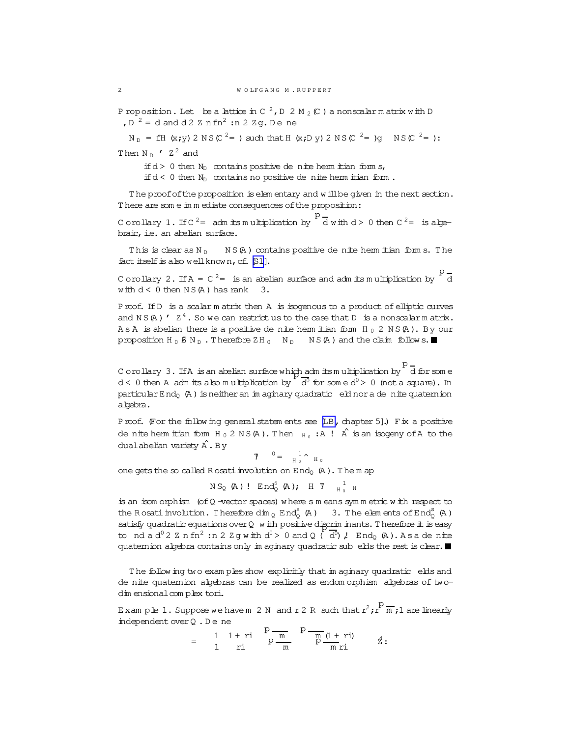P roposition. Let be a lattice in C  $^2$ , D 2 M  $_2$  (C ) a nonscalarm atrix with D ,  $D^{-2}$  = d and d 2 Z n fn<sup>2</sup> :n 2 Z g. D e ne

 $N_D = fH(x; y) 2 NS(C<sup>2</sup>=)$  such that  $H(x; D y) 2 NS(C<sup>2</sup>=)g$   $NS(C<sup>2</sup>=)$ : Then  $N_D$  '  $Z^2$  and

if  $d > 0$  then  $N_D$  contains positive de nite herm itian form s,

if  $d < 0$  then  $N_D$  contains no positive de nite herm itian form.

The proof of the proposition is elem entary and w ill be given in the next section. There are som e im m ediate consequences of the proposition:

Corollary 1. If C  $^{2}$  = adm its multiplication by P  $\overline{d}$  with  $d > 0$  then  $C^2 = i s$  abyebraic, i.e. an abelian surface.

This is clear as  $N_D$   $N S(A)$  contains positive de nite herm itian form s. The fact itself is also well known, cf.  $[S1]$ .

C orollary 2. If  $A = C^2 =$  is an abelian surface and adm its multiplication by d with  $d < 0$  then  $NS(A)$  has rank  $3.$ 

Proof. IfD is a scalar m atrix then A is isogenous to a product ofelliptic curves and N S  $($ A)  $\prime$   $\,$  Z<sup>4</sup>. So we can restrict us to the case that D is a nonscalar m atrix. A s A is abelian there is a positive de nite herm itian form  $H_0$  2 N S (A). By our proposition H<sub>0</sub>  $\beta$  N<sub>D</sub>. Therefore ZH<sub>0</sub> N<sub>D</sub> NS(A) and the claim follow s.

C orollary 3. IfA isan abelian surface which adm itsm ultiplication by p ch admitsmultiplication by diforsome<br>P  $d < 0$  then A adm its also multiplication by  $\sqrt{\frac{d^0}{d^0}}$  for some  $d^0 > 0$  (not a square). In particular End<sub>o</sub> (A) is neither an im aginary quadratic eld nor a de nite quaternion algebra.

Proof. (For the follow ing general statem ents see [\[LB,](#page-3-0) chapter 5].) Fix a positive de nite herm itian form  $H_0 2 NS(A)$ . Then  $_{H_0}$ : A !  $\hat{A}$  is an isogeny of A to the dualabelian variety  $\hat{A}$ . By

 $\bar{y}$  =  $\frac{1}{H_0}$  $\begin{smallmatrix} &1&\wedge&\ &1&\wedge&\ &\text{H} &0&\end{smallmatrix}$ 

one gets the so called R osati involution on  $End_0$   $(A)$ . The m ap

 $NS_{Q}$  (A)!  $End_{Q}^{S}$  (A); H  $\gamma$   $_{H_{Q}}^{1}$  $H_0$  H

is an isom orphism (ofQ -vector spaces) w here s m eans sym m etric w ith respect to the Rosatin volution. Therefore  $\dim_Q End_Q^S$  (A) 3. The elements of End<sub>2</sub><sup>8</sup> (A) satisfy quadratic equations over Q w ith positive discriminants. Therefore it is easy to nd a d<sup>0</sup> 2 Z n fn<sup>2</sup>: n 2 Z g w ith d<sup>0</sup> > 0 and Q ( $\overline{d}$ <sup>0</sup>), End<sub>Q</sub> (A). A s a de nite quatemion algebra contains only in aginary quadratic sub elds the rest is clear.

The follow ing two exam ples show explicitly that im aginary quadratic elds and denite quaternion algebras can be realized as endom orphism algebras of twodim ensional complex tori.

Example 1. Suppose we have m 2 N and r 2 R such that  $r^2$ ; r  $\overline{m}$ ; 1 are linearly independent over Q.Dene

$$
= 1 1 + ri P \over p \frac{m}{m} P \frac{p}{m} \frac{1 + ri}{n} 2:
$$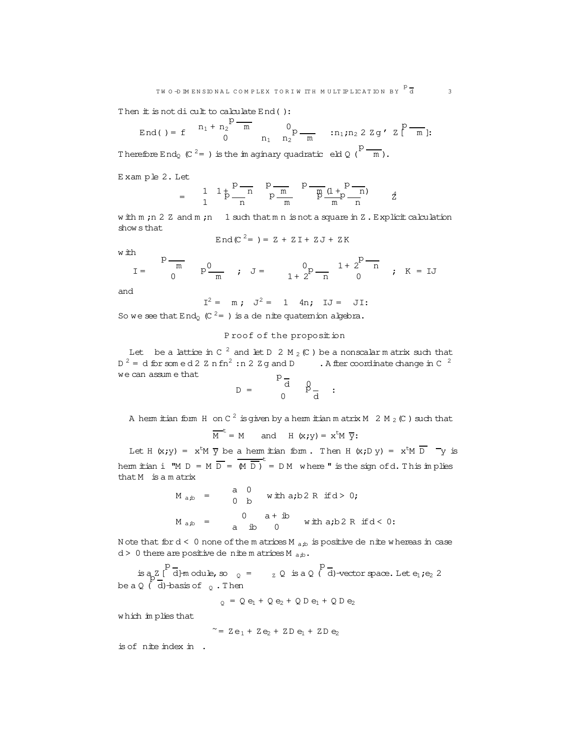Then  $#$  is not dicult to calculate  $End()$ :

End() = f 
$$
n_1 + n_2
$$
<sup>p</sup> - m  $0$ <sub>p</sub> - m  $1$ <sub>n<sub>2</sub></sub>  $n_1$ ;  $n_2$  2 zg' z<sup>p</sup> - m  $1$ :

Therefore End<sub>Q</sub> (C<sup>2</sup>=) is the imaginary quadratic eld Q (<sup>P</sup>  $\frac{m}{m}$ ).

E xam ple 2. Let

$$
= \frac{1}{1} \frac{1}{1} \frac{1}{p} \frac{p}{n} \frac{p}{n} \frac{p}{p} \frac{m}{m} \frac{p}{p} \frac{p}{m} \frac{p}{n} \frac{p}{n}
$$

w ith m ; n 2 Z and m ; n 1 such that m n is not a square in Z. Explicit calculation show sthat

$$
End(C^{2} = ) = Z + ZI + ZJ + ZK
$$

w ith

$$
I = \begin{array}{c} p - m \\ p^0 - m \\ p^0 - m \\ \end{array} \quad ; \quad J = \begin{array}{c} 0 \\ 1 + 2^p - n \\ 1 + 2^p - n \\ \end{array} \quad ; \quad K = IJ
$$

and

$$
I^2 = m
$$
;  $J^2 = 1$  4n;  $IJ = JI$ :

So we see that  $End_2$  (C<sup>2</sup>= ) is a de nite quatemion algebra.

## P roof of the proposition

Let be a lattice in C  $^2$  and let D  $2$  M  $_2$  (C ) be a nonscalarm atrix such that  $D^2 = d$  for som e d 2 Z n fn<sup>2</sup>: n 2 Z g and D . A fter coordinate change in C  $^2$ we can assum e that  $\mathbf{r}$ 

$$
D = \begin{bmatrix} 1 & 0 \\ 0 & 0 \end{bmatrix}
$$

A herm itian form H on C  $^2$  isgiven by a herm itian matrix M  $\,$  2 M  $_2$  (C ) such that

$$
\overline{M}^t = M
$$
 and H  $(x; y) = x^t M \overline{y}$ :

Let H  $(x; y)$  =  $x<sup>t</sup>M \overline{y}$  be a hermitian form. Then H  $(x; D y)$  =  $x<sup>t</sup>M \overline{D}$   $\overline{-y}$  is hem it tian i "M D = M  $\overline{D}$  =  $\overline{M} \overline{D}$  is the sign of d. This implies that M is a m atrix

$$
M_{a,b} = \begin{pmatrix} a & 0 \\ 0 & b \end{pmatrix} \text{ with } a,b \ 2 \ R \text{ if } d > 0;
$$
  

$$
M_{a,b} = \begin{pmatrix} 0 & a+ib \\ a & ib \end{pmatrix} \text{ with } a,b \ 2 \ R \text{ if } d < 0.
$$

N ote that for  $d < 0$  none of the m atrices M  $_{a,b}$  is positive de nite w hereas in case  $d > 0$  there are positive de nite m atrices M  $_{ab}$ .

 is a Z[ p d]-module,so  $_{\text{Q}}$  =  $_{\text{Z}}$  Q is a Q ( p  $\log_2\left( \frac{1}{2} \right)$  d}-module,so  $\log_2\left( \frac{1}{2} \right)$  is a Q  $\left( \frac{1}{2} \right)$  -vector space. Let e<sub>1</sub>;e<sub>2</sub> 2 be a Q ( $\,$  d)-basis of  $\,$   $_{\textrm{\tiny{Q}}}$  . Then

$$
Q = Q e_1 + Q e_2 + Q D e_1 + Q D e_2
$$

w hich im plies that

$$
\sim = Z e_1 + Z e_2 + Z D e_1 + Z D e_2
$$

is ofnite index in .